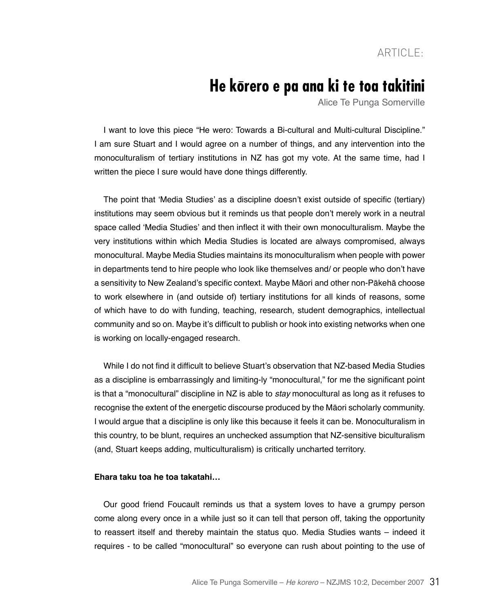## **He korero e pa ana ki te toa takitini**

Alice Te Punga Somerville

I want to love this piece "He wero: Towards a Bi-cultural and Multi-cultural Discipline." I am sure Stuart and I would agree on a number of things, and any intervention into the monoculturalism of tertiary institutions in NZ has got my vote. At the same time, had I written the piece I sure would have done things differently.

The point that 'Media Studies' as a discipline doesn't exist outside of specific (tertiary) institutions may seem obvious but it reminds us that people don't merely work in a neutral space called 'Media Studies' and then inflect it with their own monoculturalism. Maybe the very institutions within which Media Studies is located are always compromised, always monocultural. Maybe Media Studies maintains its monoculturalism when people with power in departments tend to hire people who look like themselves and/ or people who don't have a sensitivity to New Zealand's specific context. Maybe Māori and other non-Pākehā choose to work elsewhere in (and outside of) tertiary institutions for all kinds of reasons, some of which have to do with funding, teaching, research, student demographics, intellectual community and so on. Maybe it's difficult to publish or hook into existing networks when one is working on locally-engaged research.

While I do not find it difficult to believe Stuart's observation that NZ-based Media Studies as a discipline is embarrassingly and limiting-ly "monocultural," for me the significant point is that a "monocultural" discipline in NZ is able to stay monocultural as long as it refuses to recognise the extent of the energetic discourse produced by the Māori scholarly community. I would argue that a discipline is only like this because it feels it can be. Monoculturalism in this country, to be blunt, requires an unchecked assumption that NZ-sensitive biculturalism (and, Stuart keeps adding, multiculturalism) is critically uncharted territory.

## **Ehara taku toa he toa takatahi…**

Our good friend Foucault reminds us that a system loves to have a grumpy person come along every once in a while just so it can tell that person off, taking the opportunity to reassert itself and thereby maintain the status quo. Media Studies wants – indeed it requires - to be called "monocultural" so everyone can rush about pointing to the use of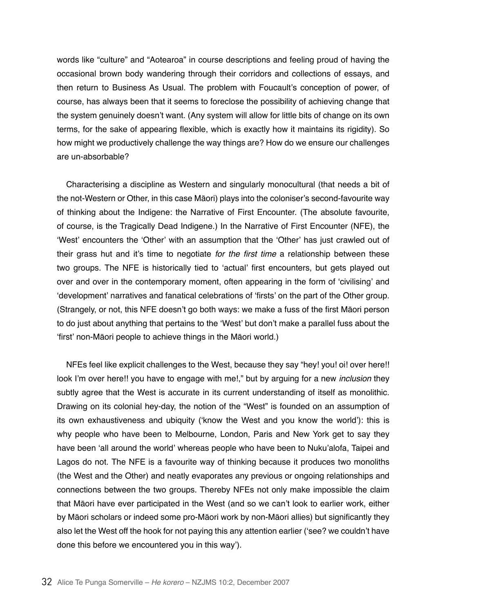words like "culture" and "Aotearoa" in course descriptions and feeling proud of having the occasional brown body wandering through their corridors and collections of essays, and then return to Business As Usual. The problem with Foucault's conception of power, of course, has always been that it seems to foreclose the possibility of achieving change that the system genuinely doesn't want. (Any system will allow for little bits of change on its own terms, for the sake of appearing flexible, which is exactly how it maintains its rigidity). So how might we productively challenge the way things are? How do we ensure our challenges are un-absorbable?

Characterising a discipline as Western and singularly monocultural (that needs a bit of the not-Western or Other, in this case Māori) plays into the coloniser's second-favourite way of thinking about the Indigene: the Narrative of First Encounter. (The absolute favourite, of course, is the Tragically Dead Indigene.) In the Narrative of First Encounter (NFE), the 'West' encounters the 'Other' with an assumption that the 'Other' has just crawled out of their grass hut and it's time to negotiate for the first time a relationship between these two groups. The NFE is historically tied to 'actual' first encounters, but gets played out over and over in the contemporary moment, often appearing in the form of 'civilising' and 'development' narratives and fanatical celebrations of 'firsts' on the part of the Other group. (Strangely, or not, this NFE doesn't go both ways: we make a fuss of the first Māori person to do just about anything that pertains to the 'West' but don't make a parallel fuss about the 'first' non-Māori people to achieve things in the Māori world.)

NFEs feel like explicit challenges to the West, because they say "hey! you! oi! over here!! look I'm over here!! you have to engage with me!," but by arguing for a new *inclusion* they subtly agree that the West is accurate in its current understanding of itself as monolithic. Drawing on its colonial hey-day, the notion of the "West" is founded on an assumption of its own exhaustiveness and ubiquity ('know the West and you know the world'): this is why people who have been to Melbourne, London, Paris and New York get to say they have been 'all around the world' whereas people who have been to Nuku'alofa, Taipei and Lagos do not. The NFE is a favourite way of thinking because it produces two monoliths (the West and the Other) and neatly evaporates any previous or ongoing relationships and connections between the two groups. Thereby NFEs not only make impossible the claim that Māori have ever participated in the West (and so we can't look to earlier work, either by Māori scholars or indeed some pro-Māori work by non-Māori allies) but significantly they also let the West off the hook for not paying this any attention earlier ('see? we couldn't have done this before we encountered you in this way').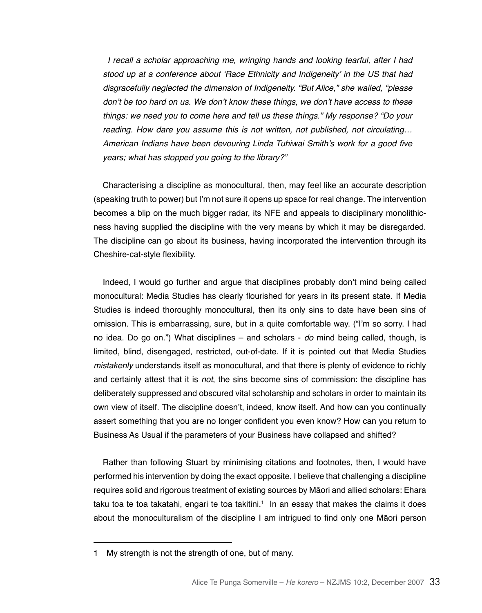I recall a scholar approaching me, wringing hands and looking tearful, after I had stood up at a conference about 'Race Ethnicity and Indigeneity' in the US that had disgracefully neglected the dimension of Indigeneity. "But Alice," she wailed, "please don't be too hard on us. We don't know these things, we don't have access to these things: we need you to come here and tell us these things." My response? "Do your reading. How dare you assume this is not written, not published, not circulating… American Indians have been devouring Linda Tuhiwai Smith's work for a good five years; what has stopped you going to the library?"

Characterising a discipline as monocultural, then, may feel like an accurate description (speaking truth to power) but I'm not sure it opens up space for real change. The intervention becomes a blip on the much bigger radar, its NFE and appeals to disciplinary monolithicness having supplied the discipline with the very means by which it may be disregarded. The discipline can go about its business, having incorporated the intervention through its Cheshire-cat-style flexibility.

Indeed, I would go further and argue that disciplines probably don't mind being called monocultural: Media Studies has clearly flourished for years in its present state. If Media Studies is indeed thoroughly monocultural, then its only sins to date have been sins of omission. This is embarrassing, sure, but in a quite comfortable way. ("I'm so sorry. I had no idea. Do go on.") What disciplines – and scholars - *do* mind being called, though, is limited, blind, disengaged, restricted, out-of-date. If it is pointed out that Media Studies mistakenly understands itself as monocultural, and that there is plenty of evidence to richly and certainly attest that it is *not*, the sins become sins of commission: the discipline has deliberately suppressed and obscured vital scholarship and scholars in order to maintain its own view of itself. The discipline doesn't, indeed, know itself. And how can you continually assert something that you are no longer confident you even know? How can you return to Business As Usual if the parameters of your Business have collapsed and shifted?

Rather than following Stuart by minimising citations and footnotes, then, I would have performed his intervention by doing the exact opposite. I believe that challenging a discipline requires solid and rigorous treatment of existing sources by Māori and allied scholars: Ehara taku toa te toa takatahi, engari te toa takitini.1 In an essay that makes the claims it does about the monoculturalism of the discipline I am intrigued to find only one Māori person

<sup>1</sup> My strength is not the strength of one, but of many.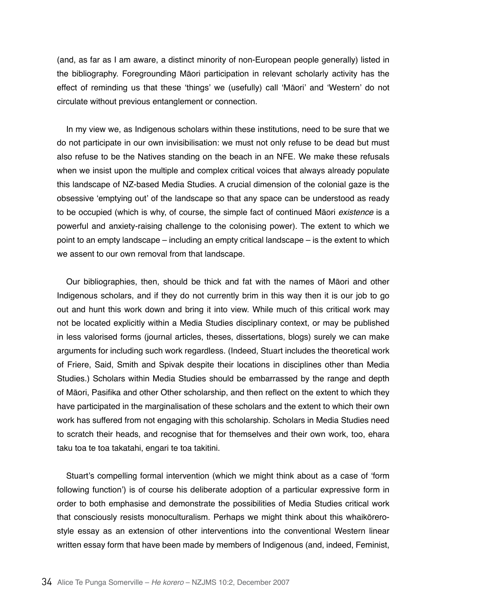(and, as far as I am aware, a distinct minority of non-European people generally) listed in the bibliography. Foregrounding Māori participation in relevant scholarly activity has the effect of reminding us that these 'things' we (usefully) call 'Māori' and 'Western' do not circulate without previous entanglement or connection.

In my view we, as Indigenous scholars within these institutions, need to be sure that we do not participate in our own invisibilisation: we must not only refuse to be dead but must also refuse to be the Natives standing on the beach in an NFE. We make these refusals when we insist upon the multiple and complex critical voices that always already populate this landscape of NZ-based Media Studies. A crucial dimension of the colonial gaze is the obsessive 'emptying out' of the landscape so that any space can be understood as ready to be occupied (which is why, of course, the simple fact of continued Māori *existence* is a powerful and anxiety-raising challenge to the colonising power). The extent to which we point to an empty landscape – including an empty critical landscape – is the extent to which we assent to our own removal from that landscape.

Our bibliographies, then, should be thick and fat with the names of Māori and other Indigenous scholars, and if they do not currently brim in this way then it is our job to go out and hunt this work down and bring it into view. While much of this critical work may not be located explicitly within a Media Studies disciplinary context, or may be published in less valorised forms (journal articles, theses, dissertations, blogs) surely we can make arguments for including such work regardless. (Indeed, Stuart includes the theoretical work of Friere, Said, Smith and Spivak despite their locations in disciplines other than Media Studies.) Scholars within Media Studies should be embarrassed by the range and depth of Māori, Pasifika and other Other scholarship, and then reflect on the extent to which they have participated in the marginalisation of these scholars and the extent to which their own work has suffered from not engaging with this scholarship. Scholars in Media Studies need to scratch their heads, and recognise that for themselves and their own work, too, ehara taku toa te toa takatahi, engari te toa takitini.

Stuart's compelling formal intervention (which we might think about as a case of 'form following function') is of course his deliberate adoption of a particular expressive form in order to both emphasise and demonstrate the possibilities of Media Studies critical work that consciously resists monoculturalism. Perhaps we might think about this whaikōrerostyle essay as an extension of other interventions into the conventional Western linear written essay form that have been made by members of Indigenous (and, indeed, Feminist,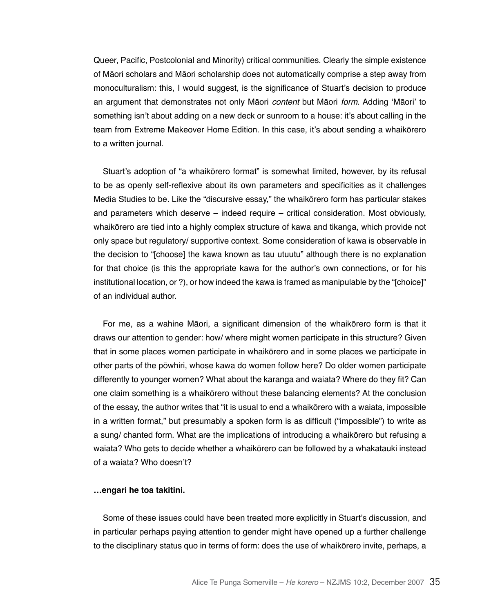Queer, Pacific, Postcolonial and Minority) critical communities. Clearly the simple existence of Māori scholars and Māori scholarship does not automatically comprise a step away from monoculturalism: this, I would suggest, is the significance of Stuart's decision to produce an argument that demonstrates not only Māori *content* but Māori *form*. Adding 'Māori' to something isn't about adding on a new deck or sunroom to a house: it's about calling in the team from Extreme Makeover Home Edition. In this case, it's about sending a whaikōrero to a written journal.

Stuart's adoption of "a whaikōrero format" is somewhat limited, however, by its refusal to be as openly self-reflexive about its own parameters and specificities as it challenges Media Studies to be. Like the "discursive essay," the whaikōrero form has particular stakes and parameters which deserve – indeed require – critical consideration. Most obviously, whaikōrero are tied into a highly complex structure of kawa and tikanga, which provide not only space but regulatory/ supportive context. Some consideration of kawa is observable in the decision to "[choose] the kawa known as tau utuutu" although there is no explanation for that choice (is this the appropriate kawa for the author's own connections, or for his institutional location, or ?), or how indeed the kawa is framed as manipulable by the "[choice]" of an individual author.

For me, as a wahine Māori, a significant dimension of the whaikōrero form is that it draws our attention to gender: how/ where might women participate in this structure? Given that in some places women participate in whaikōrero and in some places we participate in other parts of the pōwhiri, whose kawa do women follow here? Do older women participate differently to younger women? What about the karanga and waiata? Where do they fit? Can one claim something is a whaikōrero without these balancing elements? At the conclusion of the essay, the author writes that "it is usual to end a whaikōrero with a waiata, impossible in a written format," but presumably a spoken form is as difficult ("impossible") to write as a sung/ chanted form. What are the implications of introducing a whaikōrero but refusing a waiata? Who gets to decide whether a whaikōrero can be followed by a whakatauki instead of a waiata? Who doesn't?

## **…engari he toa takitini.**

Some of these issues could have been treated more explicitly in Stuart's discussion, and in particular perhaps paying attention to gender might have opened up a further challenge to the disciplinary status quo in terms of form: does the use of whaikōrero invite, perhaps, a